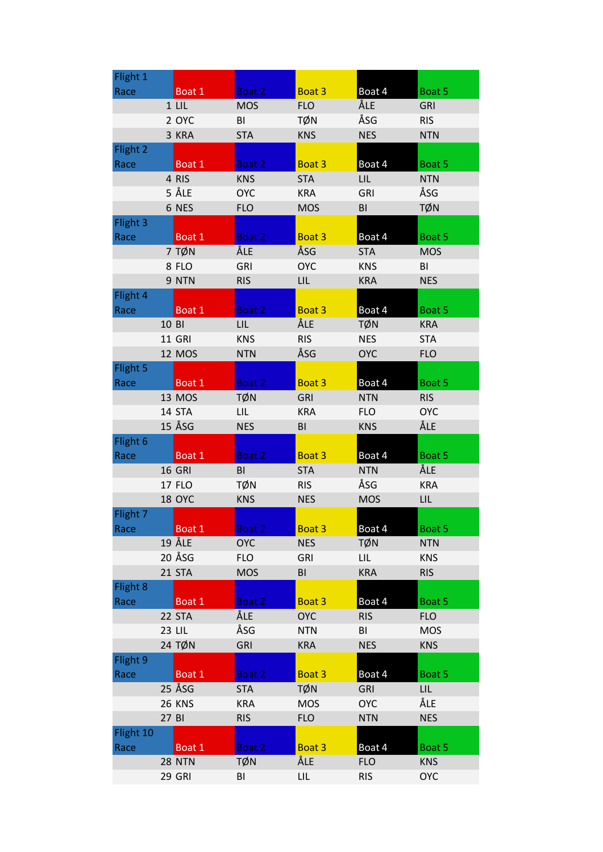| Flight 1  |       |               |            |                |            |            |
|-----------|-------|---------------|------------|----------------|------------|------------|
| Race      |       | Boat 1        | Boat 2     | Boat 3         | Boat 4     | Boat 5     |
|           |       | $1$ LIL       | <b>MOS</b> | <b>FLO</b>     | ÅLE        | <b>GRI</b> |
|           |       | 2 OYC         | BI         | TØN            | ÅSG        | <b>RIS</b> |
|           |       | 3 KRA         | <b>STA</b> | <b>KNS</b>     | <b>NES</b> | <b>NTN</b> |
| Flight 2  |       |               |            |                |            |            |
| Race      |       | Boat 1        | Boat 2     | Boat 3         | Boat 4     | Boat 5     |
|           |       | 4 RIS         | <b>KNS</b> | <b>STA</b>     | <b>LIL</b> | <b>NTN</b> |
|           |       | 5 ÅLE         | <b>OYC</b> | <b>KRA</b>     | <b>GRI</b> | ÅSG        |
|           |       | 6 NES         | <b>FLO</b> | <b>MOS</b>     | BI         | <b>TØN</b> |
| Flight 3  |       |               |            |                |            |            |
| Race      |       | Boat 1        | Boat 2     | Boat 3         | Boat 4     | Boat 5     |
|           |       | 7 TØN         | ÅLE        | ÅSG            | <b>STA</b> | <b>MOS</b> |
|           |       | 8 FLO         | <b>GRI</b> | <b>OYC</b>     | <b>KNS</b> | BI         |
|           |       | 9 NTN         | <b>RIS</b> | LIL            | <b>KRA</b> | <b>NES</b> |
| Flight 4  |       |               |            |                |            |            |
| Race      |       | Boat 1        | Boat 2     | Boat 3         | Boat 4     | Boat 5     |
|           | 10 BI |               | LIL        | ÅLE            | <b>TØN</b> | <b>KRA</b> |
|           |       | <b>11 GRI</b> | <b>KNS</b> | <b>RIS</b>     | <b>NES</b> | <b>STA</b> |
|           |       | <b>12 MOS</b> | <b>NTN</b> | ÅSG            | <b>OYC</b> | <b>FLO</b> |
| Flight 5  |       |               |            |                |            |            |
| Race      |       | Boat 1        | Boat 2     | Boat 3         | Boat 4     | Boat 5     |
|           |       | 13 MOS        | <b>TØN</b> | <b>GRI</b>     | <b>NTN</b> | <b>RIS</b> |
|           |       | 14 STA        | LIL        | <b>KRA</b>     | <b>FLO</b> | <b>OYC</b> |
|           |       | 15 ÅSG        | <b>NES</b> | BI             | <b>KNS</b> | ÅLE        |
| Flight 6  |       |               |            |                |            |            |
| Race      |       | Boat 1        | Boat 2     | Boat 3         | Boat 4     | Boat 5     |
|           |       | <b>16 GRI</b> | BI         | <b>STA</b>     | <b>NTN</b> | ÅLE        |
|           |       | <b>17 FLO</b> | TØN        | <b>RIS</b>     | ÅSG        | <b>KRA</b> |
|           |       | 18 OYC        | <b>KNS</b> | <b>NES</b>     | <b>MOS</b> | LIL        |
| Flight 7  |       |               |            |                |            |            |
| Race      |       | Boat 1        | Boat 2     | Boat 3         | Boat 4     | Boat 5     |
|           |       | 19 ÅLE        | <b>OYC</b> | <b>NES</b>     | <b>TØN</b> | <b>NTN</b> |
|           |       | 20 ÅSG        | <b>FLO</b> | <b>GRI</b>     | LIL.       | <b>KNS</b> |
|           |       | 21 STA        | <b>MOS</b> | B <sub>l</sub> | <b>KRA</b> | <b>RIS</b> |
| Flight 8  |       |               |            |                |            |            |
| Race      |       | Boat 1        | Boat 2     | Boat 3         | Boat 4     | Boat 5     |
|           |       | 22 STA        | ÅLE        | <b>OYC</b>     | <b>RIS</b> | <b>FLO</b> |
|           |       | 23 LIL        | ÅSG        | <b>NTN</b>     | BI         | <b>MOS</b> |
|           |       | 24 TØN        | <b>GRI</b> | <b>KRA</b>     | <b>NES</b> | <b>KNS</b> |
| Flight 9  |       |               |            |                |            |            |
| Race      |       | Boat 1        | Boat 2     | Boat 3         | Boat 4     | Boat 5     |
|           |       | 25 ÅSG        | <b>STA</b> | <b>TØN</b>     | <b>GRI</b> | <b>LIL</b> |
|           |       | <b>26 KNS</b> | <b>KRA</b> | <b>MOS</b>     | <b>OYC</b> | ÅLE        |
|           | 27 BI |               | <b>RIS</b> | <b>FLO</b>     | <b>NTN</b> | <b>NES</b> |
| Flight 10 |       |               |            |                |            |            |
| Race      |       | Boat 1        | Boat 2     | Boat 3         | Boat 4     | Boat 5     |
|           |       | <b>28 NTN</b> | TØN        | ÅLE            | <b>FLO</b> | <b>KNS</b> |
|           |       | <b>29 GRI</b> | BI         | LIL.           | <b>RIS</b> | <b>OYC</b> |